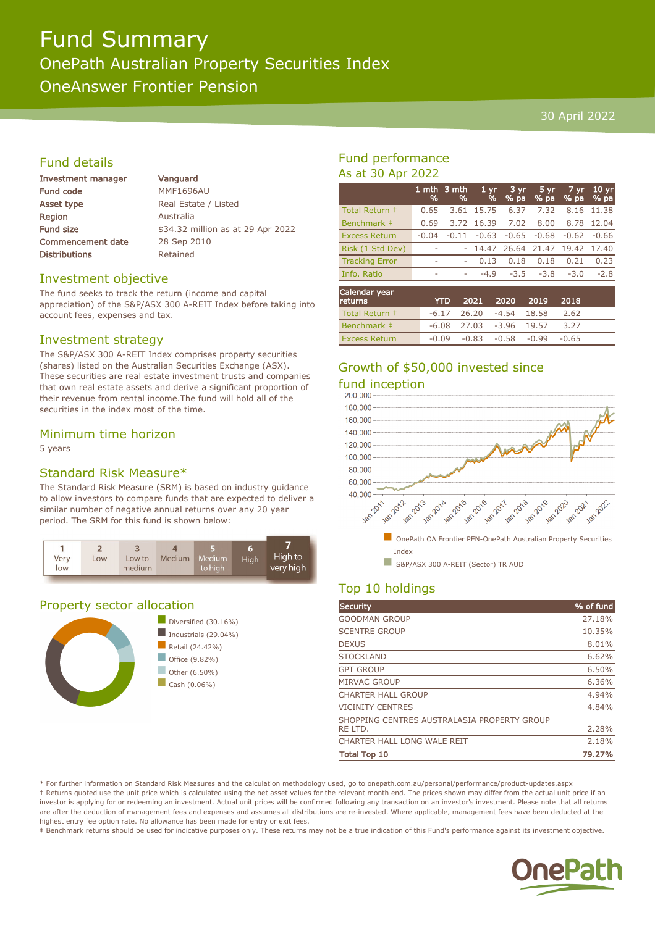# Fund Summary OnePath Australian Property Securities Index OneAnswer Frontier Pension

#### 30 April 2022

# Fund details

| Investment manager       | Vanguar          |
|--------------------------|------------------|
| Fund code                | MMF1696          |
| Asset type               | <b>Real Esta</b> |
| <b>Region</b>            | Australia        |
| Fund size                | \$34.32 n        |
| <b>Commencement date</b> | 28 Sep 2         |
| Distributions            | Retained         |

quard  $F1696AU$ Estate / Listed 32 million as at 29 Apr 2022  $Sen 2010$ ained

#### Investment objective

The fund seeks to track the return (income and capital appreciation) of the S&P/ASX 300 A-REIT Index before taking into account fees, expenses and tax.

## Investment strategy

The S&P/ASX 300 A-REIT Index comprises property securities (shares) listed on the Australian Securities Exchange (ASX). These securities are real estate investment trusts and companies that own real estate assets and derive a significant proportion of their revenue from rental income.The fund will hold all of the securities in the index most of the time.

## Minimum time horizon

5 years

# Standard Risk Measure\*

The Standard Risk Measure (SRM) is based on industry guidance to allow investors to compare funds that are expected to deliver a similar number of negative annual returns over any 20 year period. The SRM for this fund is shown below:



# Property sector allocation



# Fund performance As at 30 Apr 2022

|                          | 1 mth<br>% | 3 mth<br>% | 1 <sub>yr</sub><br>% | $3 \, yr$<br>% pa          | 5 yr<br>% pa | 7 yr.<br>% pa        | 10 <sub>yr</sub><br>% pa |
|--------------------------|------------|------------|----------------------|----------------------------|--------------|----------------------|--------------------------|
| Total Return +           | 0.65       | 3.61       | 15.75                | 6.37                       | 7.32         | 8.16                 | 11.38                    |
| Benchmark ‡              | 0.69       | 3.72       | 16.39                | 7.02                       | 8.00         | 8.78                 | 12.04                    |
| <b>Excess Return</b>     | $-0.04$    | $-0.11$    | $-0.63$              | $-0.65$                    | $-0.68$      | $-0.62$              | $-0.66$                  |
| Risk (1 Std Dev)         |            |            | 14.47                | 26.64                      | 21.47        | 19.42                | 17.40                    |
| <b>Tracking Error</b>    | ۰          | ۰          | 0.13                 | 0.18                       | 0.18         | 0.21                 | 0.23                     |
| Info. Ratio              | ۰          | ۰          | $-4.9$               | $-3.5$                     | $-3.8$       | $-3.0$               | $-2.8$                   |
| Calendar year<br>returns |            | <b>YTD</b> | 2021                 | 2020                       | 2019         | 2018                 |                          |
| _________                |            |            | ----                 | $\cdots$ $\cdots$ $\cdots$ |              | $\sim$ $\sim$ $\sim$ |                          |

| Total Return + |       | $-6.17$ 26.20 $-4.54$ 18.58 |                         | 2.62 |  |
|----------------|-------|-----------------------------|-------------------------|------|--|
| Benchmark ‡    |       | $-6.08$ 27.03 $-3.96$ 19.57 |                         | 3.27 |  |
| Excess Return  | -0.09 |                             | -0.83 -0.58 -0.99 -0.65 |      |  |

# Growth of \$50,000 invested since



# Top 10 holdings

| <b>Security</b>                             | % of fund |
|---------------------------------------------|-----------|
| <b>GOODMAN GROUP</b>                        | 27.18%    |
| <b>SCENTRE GROUP</b>                        | 10.35%    |
| <b>DEXUS</b>                                | 8.01%     |
| <b>STOCKLAND</b>                            | 6.62%     |
| <b>GPT GROUP</b>                            | 6.50%     |
| <b>MIRVAC GROUP</b>                         | 6.36%     |
| <b>CHARTER HALL GROUP</b>                   | 4.94%     |
| <b>VICINITY CENTRES</b>                     | 4.84%     |
| SHOPPING CENTRES AUSTRALASIA PROPERTY GROUP |           |
| RE LTD.                                     | 2.28%     |
| CHARTER HALL LONG WALE REIT                 | 2.18%     |
| <b>Total Top 10</b>                         | 79.27%    |

\* For further information on Standard Risk Measures and the calculation methodology used, go to onepath.com.au/personal/performance/product-updates.aspx † Returns quoted use the unit price which is calculated using the net asset values for the relevant month end. The prices shown may differ from the actual unit price if an investor is applying for or redeeming an investment. Actual unit prices will be confirmed following any transaction on an investor's investment. Please note that all returns are after the deduction of management fees and expenses and assumes all distributions are re-invested. Where applicable, management fees have been deducted at the highest entry fee option rate. No allowance has been made for entry or exit fees.

‡ Benchmark returns should be used for indicative purposes only. These returns may not be a true indication of this Fund's performance against its investment objective.